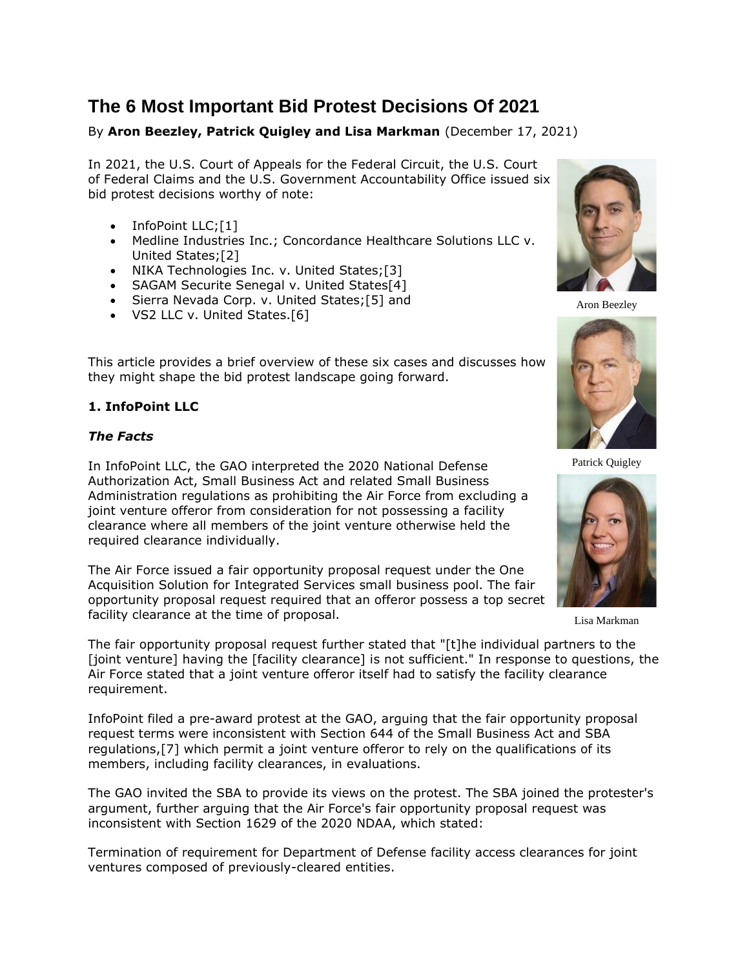# **The 6 Most Important Bid Protest Decisions Of 2021**

# By **Aron Beezley, Patrick Quigley and Lisa Markman** (December 17, 2021)

In 2021, the [U.S. Court of Appeals for the Federal Circuit,](https://www.law360.com/agencies/u-s-court-of-appeals-for-the-federal-circuit) the U.S. Court of Federal Claims and the U.S. [Government Accountability Office](https://www.law360.com/agencies/government-accountability-office) issued six bid protest decisions worthy of note:

- InfoPoint LLC;[1]
- [Medline Industries](https://www.law360.com/companies/medline-industries-inc) Inc.; Concordance Healthcare Solutions LLC v. United States;[2]
- NIKA Technologies Inc. v. United States;[3]
- SAGAM Securite Senegal v. United States[4]
- Sierra Nevada Corp. v. United States;[5] and
- VS2 LLC v. United States.[6]

This article provides a brief overview of these six cases and discusses how they might shape the bid protest landscape going forward.

## **1. InfoPoint LLC**

## *The Facts*

In InfoPoint LLC, the GAO interpreted the 2020 National Defense Authorization Act, Small Business Act and related [Small Business](https://www.law360.com/agencies/small-business-administration)  [Administration](https://www.law360.com/agencies/small-business-administration) regulations as prohibiting the Air Force from excluding a joint venture offeror from consideration for not possessing a facility clearance where all members of the joint venture otherwise held the required clearance individually.

The Air Force issued a fair opportunity proposal request under the One Acquisition Solution for Integrated Services small business pool. The fair opportunity proposal request required that an offeror possess a top secret facility clearance at the time of proposal.



Aron Beezley



Patrick Quigley



Lisa Markman

The fair opportunity proposal request further stated that "[t]he individual partners to the [joint venture] having the [facility clearance] is not sufficient." In response to questions, the Air Force stated that a joint venture offeror itself had to satisfy the facility clearance requirement.

InfoPoint filed a pre-award protest at the GAO, arguing that the fair opportunity proposal request terms were inconsistent with Section 644 of the Small Business Act and SBA regulations,[7] which permit a joint venture offeror to rely on the qualifications of its members, including facility clearances, in evaluations.

The GAO invited the SBA to provide its views on the protest. The SBA joined the protester's argument, further arguing that the Air Force's fair opportunity proposal request was inconsistent with Section 1629 of the 2020 NDAA, which stated:

Termination of requirement for Department of Defense facility access clearances for joint ventures composed of previously-cleared entities.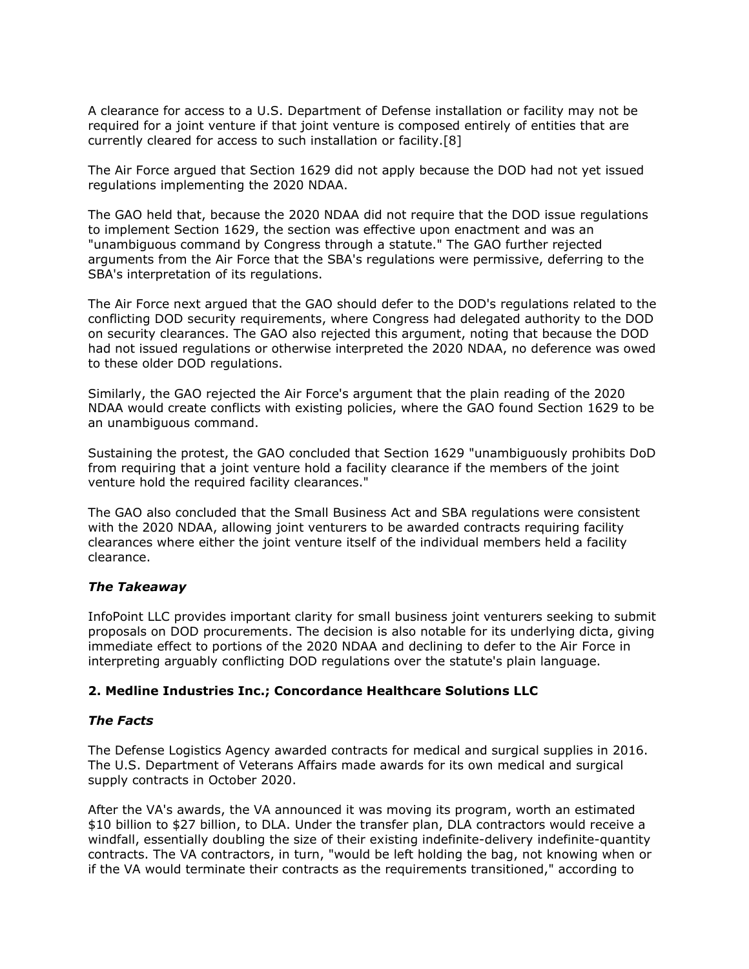A clearance for access to a [U.S. Department of Defense](https://www.law360.com/agencies/u-s-department-of-defense) installation or facility may not be required for a joint venture if that joint venture is composed entirely of entities that are currently cleared for access to such installation or facility.[8]

The Air Force argued that Section 1629 did not apply because the DOD had not yet issued regulations implementing the 2020 NDAA.

The GAO held that, because the 2020 NDAA did not require that the DOD issue regulations to implement Section 1629, the section was effective upon enactment and was an "unambiguous command by Congress through a statute." The GAO further rejected arguments from the Air Force that the SBA's regulations were permissive, deferring to the SBA's interpretation of its regulations.

The Air Force next argued that the GAO should defer to the DOD's regulations related to the conflicting DOD security requirements, where Congress had delegated authority to the DOD on security clearances. The GAO also rejected this argument, noting that because the DOD had not issued regulations or otherwise interpreted the 2020 NDAA, no deference was owed to these older DOD regulations.

Similarly, the GAO rejected the Air Force's argument that the plain reading of the 2020 NDAA would create conflicts with existing policies, where the GAO found Section 1629 to be an unambiguous command.

Sustaining the protest, the GAO concluded that Section 1629 "unambiguously prohibits DoD from requiring that a joint venture hold a facility clearance if the members of the joint venture hold the required facility clearances."

The GAO also concluded that the Small Business Act and SBA regulations were consistent with the 2020 NDAA, allowing joint venturers to be awarded contracts requiring facility clearances where either the joint venture itself of the individual members held a facility clearance.

#### *The Takeaway*

InfoPoint LLC provides important clarity for small business joint venturers seeking to submit proposals on DOD procurements. The decision is also notable for its underlying dicta, giving immediate effect to portions of the 2020 NDAA and declining to defer to the Air Force in interpreting arguably conflicting DOD regulations over the statute's plain language.

#### **2. Medline Industries Inc.; Concordance Healthcare Solutions LLC**

#### *The Facts*

The Defense [Logistics Agency](https://www.law360.com/agencies/defense-logistics-agency) awarded contracts for medical and surgical supplies in 2016. The [U.S. Department of Veterans Affairs](https://www.law360.com/agencies/u-s-department-of-veterans-affairs) made awards for its own medical and surgical supply contracts in October 2020.

After the VA's awards, the VA announced it was moving its program, worth an estimated \$10 billion to \$27 billion, to DLA. Under the transfer plan, DLA contractors would receive a windfall, essentially doubling the size of their existing indefinite-delivery indefinite-quantity contracts. The VA contractors, in turn, "would be left holding the bag, not knowing when or if the VA would terminate their contracts as the requirements transitioned," according to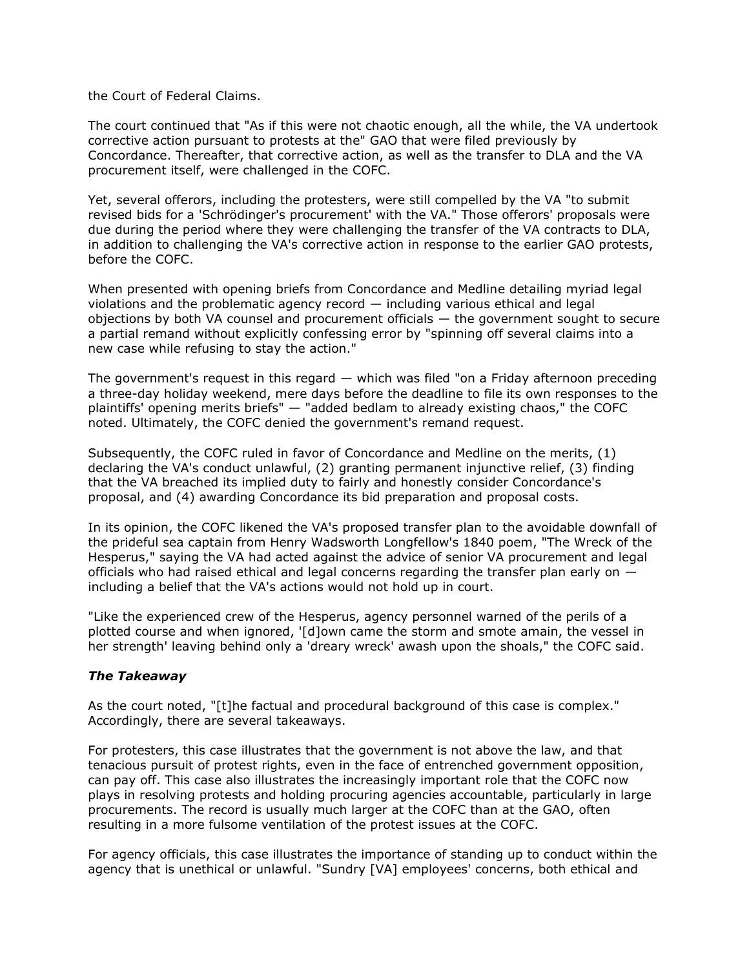the Court of Federal Claims.

The court continued that "As if this were not chaotic enough, all the while, the VA undertook corrective action pursuant to protests at the" GAO that were filed previously by Concordance. Thereafter, that corrective action, as well as the transfer to DLA and the VA procurement itself, were challenged in the COFC.

Yet, several offerors, including the protesters, were still compelled by the VA "to submit revised bids for a 'Schrödinger's procurement' with the VA." Those offerors' proposals were due during the period where they were challenging the transfer of the VA contracts to DLA, in addition to challenging the VA's corrective action in response to the earlier GAO protests, before the COFC.

When presented with opening briefs from Concordance and Medline detailing myriad legal violations and the problematic agency record — including various ethical and legal objections by both VA counsel and procurement officials — the government sought to secure a partial remand without explicitly confessing error by "spinning off several claims into a new case while refusing to stay the action."

The government's request in this regard — which was filed "on a Friday afternoon preceding a three-day holiday weekend, mere days before the deadline to file its own responses to the plaintiffs' opening merits briefs" — "added bedlam to already existing chaos," the COFC noted. Ultimately, the COFC denied the government's remand request.

Subsequently, the COFC ruled in favor of Concordance and Medline on the merits, (1) declaring the VA's conduct unlawful, (2) granting permanent injunctive relief, (3) finding that the VA breached its implied duty to fairly and honestly consider Concordance's proposal, and (4) awarding Concordance its bid preparation and proposal costs.

In its opinion, the COFC likened the VA's proposed transfer plan to the avoidable downfall of the prideful sea captain from Henry Wadsworth Longfellow's 1840 poem, "The Wreck of the Hesperus," saying the VA had acted against the advice of senior VA procurement and legal officials who had raised ethical and legal concerns regarding the transfer plan early on  $$ including a belief that the VA's actions would not hold up in court.

"Like the experienced crew of the Hesperus, agency personnel warned of the perils of a plotted course and when ignored, '[d]own came the storm and smote amain, the vessel in her strength' leaving behind only a 'dreary wreck' awash upon the shoals," the COFC said.

#### *The Takeaway*

As the court noted, "[t]he factual and procedural background of this case is complex." Accordingly, there are several takeaways.

For protesters, this case illustrates that the government is not above the law, and that tenacious pursuit of protest rights, even in the face of entrenched government opposition, can pay off. This case also illustrates the increasingly important role that the COFC now plays in resolving protests and holding procuring agencies accountable, particularly in large procurements. The record is usually much larger at the COFC than at the GAO, often resulting in a more fulsome ventilation of the protest issues at the COFC.

For agency officials, this case illustrates the importance of standing up to conduct within the agency that is unethical or unlawful. "Sundry [VA] employees' concerns, both ethical and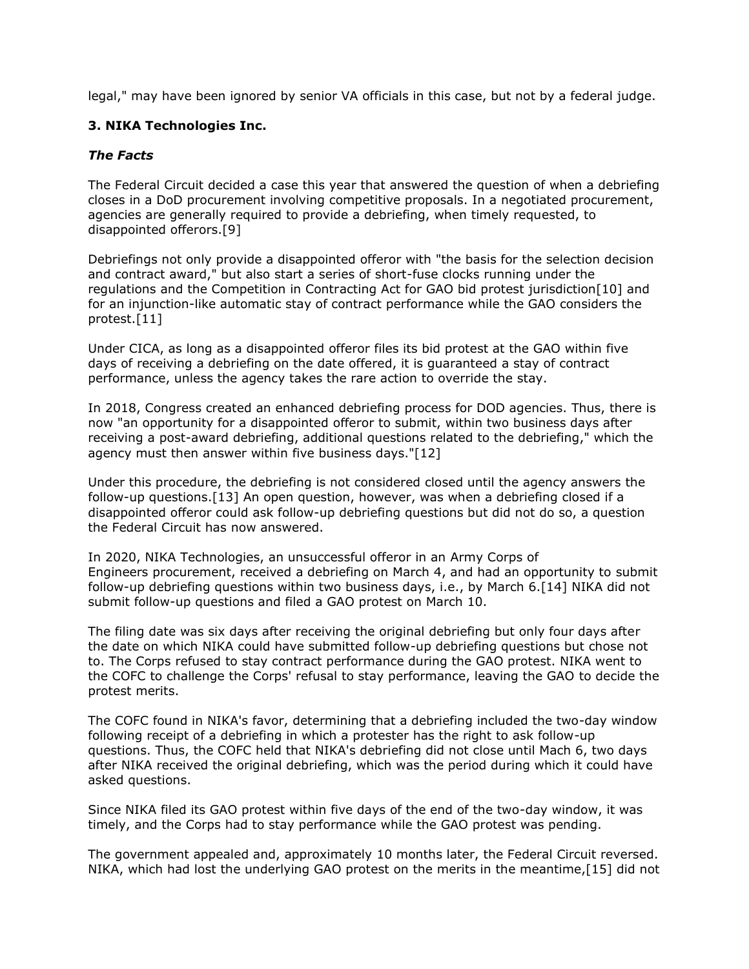legal," may have been ignored by senior VA officials in this case, but not by a federal judge.

## **3. NIKA Technologies Inc.**

## *The Facts*

The Federal Circuit decided a case this year that answered the question of when a debriefing closes in a DoD procurement involving competitive proposals. In a negotiated procurement, agencies are generally required to provide a debriefing, when timely requested, to disappointed offerors.[9]

Debriefings not only provide a disappointed offeror with "the basis for the selection decision and contract award," but also start a series of short-fuse clocks running under the regulations and the Competition in Contracting Act for GAO bid protest jurisdiction[10] and for an injunction-like automatic stay of contract performance while the GAO considers the protest.[11]

Under CICA, as long as a disappointed offeror files its bid protest at the GAO within five days of receiving a debriefing on the date offered, it is guaranteed a stay of contract performance, unless the agency takes the rare action to override the stay.

In 2018, Congress created an enhanced debriefing process for DOD agencies. Thus, there is now "an opportunity for a disappointed offeror to submit, within two business days after receiving a post-award debriefing, additional questions related to the debriefing," which the agency must then answer within five business days."[12]

Under this procedure, the debriefing is not considered closed until the agency answers the follow-up questions.[13] An open question, however, was when a debriefing closed if a disappointed offeror could ask follow-up debriefing questions but did not do so, a question the Federal Circuit has now answered.

In 2020, NIKA Technologies, an unsuccessful offeror in an [Army Corps of](https://www.law360.com/agencies/u-s-army-corps-of-engineers)  [Engineers](https://www.law360.com/agencies/u-s-army-corps-of-engineers) procurement, received a debriefing on March 4, and had an opportunity to submit follow-up debriefing questions within two business days, i.e., by March 6.[14] NIKA did not submit follow-up questions and filed a GAO protest on March 10.

The filing date was six days after receiving the original debriefing but only four days after the date on which NIKA could have submitted follow-up debriefing questions but chose not to. The Corps refused to stay contract performance during the GAO protest. NIKA went to the COFC to challenge the Corps' refusal to stay performance, leaving the GAO to decide the protest merits.

The COFC found in NIKA's favor, determining that a debriefing included the two-day window following receipt of a debriefing in which a protester has the right to ask follow-up questions. Thus, the COFC held that NIKA's debriefing did not close until Mach 6, two days after NIKA received the original debriefing, which was the period during which it could have asked questions.

Since NIKA filed its GAO protest within five days of the end of the two-day window, it was timely, and the Corps had to stay performance while the GAO protest was pending.

The government appealed and, approximately 10 months later, the Federal Circuit reversed. NIKA, which had lost the underlying GAO protest on the merits in the meantime,[15] did not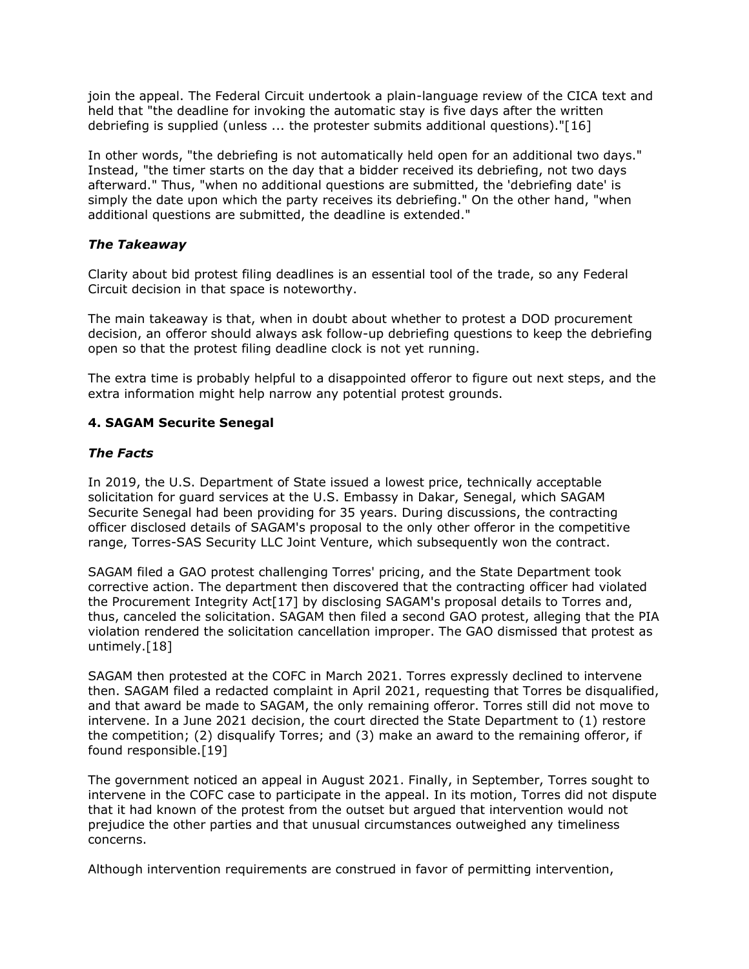join the appeal. The Federal Circuit undertook a plain-language review of the CICA text and held that "the deadline for invoking the automatic stay is five days after the written debriefing is supplied (unless ... the protester submits additional questions)."[16]

In other words, "the debriefing is not automatically held open for an additional two days." Instead, "the timer starts on the day that a bidder received its debriefing, not two days afterward." Thus, "when no additional questions are submitted, the 'debriefing date' is simply the date upon which the party receives its debriefing." On the other hand, "when additional questions are submitted, the deadline is extended."

## *The Takeaway*

Clarity about bid protest filing deadlines is an essential tool of the trade, so any Federal Circuit decision in that space is noteworthy.

The main takeaway is that, when in doubt about whether to protest a DOD procurement decision, an offeror should always ask follow-up debriefing questions to keep the debriefing open so that the protest filing deadline clock is not yet running.

The extra time is probably helpful to a disappointed offeror to figure out next steps, and the extra information might help narrow any potential protest grounds.

## **4. SAGAM Securite Senegal**

#### *The Facts*

In 2019, the [U.S. Department of State](https://www.law360.com/agencies/u-s-department-of-state) issued a lowest price, technically acceptable solicitation for guard services at the U.S. Embassy in Dakar, Senegal, which SAGAM Securite Senegal had been providing for 35 years. During discussions, the contracting officer disclosed details of SAGAM's proposal to the only other offeror in the competitive range, Torres-SAS Security LLC Joint Venture, which subsequently won the contract.

SAGAM filed a GAO protest challenging Torres' pricing, and the State Department took corrective action. The department then discovered that the contracting officer had violated the Procurement Integrity Act[17] by disclosing SAGAM's proposal details to Torres and, thus, canceled the solicitation. SAGAM then filed a second GAO protest, alleging that the PIA violation rendered the solicitation cancellation improper. The GAO dismissed that protest as untimely.[18]

SAGAM then protested at the COFC in March 2021. Torres expressly declined to intervene then. SAGAM filed a redacted complaint in April 2021, requesting that Torres be disqualified, and that award be made to SAGAM, the only remaining offeror. Torres still did not move to intervene. In a June 2021 decision, the court directed the State Department to (1) restore the competition; (2) disqualify Torres; and (3) make an award to the remaining offeror, if found responsible.[19]

The government noticed an appeal in August 2021. Finally, in September, Torres sought to intervene in the COFC case to participate in the appeal. In its motion, Torres did not dispute that it had known of the protest from the outset but argued that intervention would not prejudice the other parties and that unusual circumstances outweighed any timeliness concerns.

Although intervention requirements are construed in favor of permitting intervention,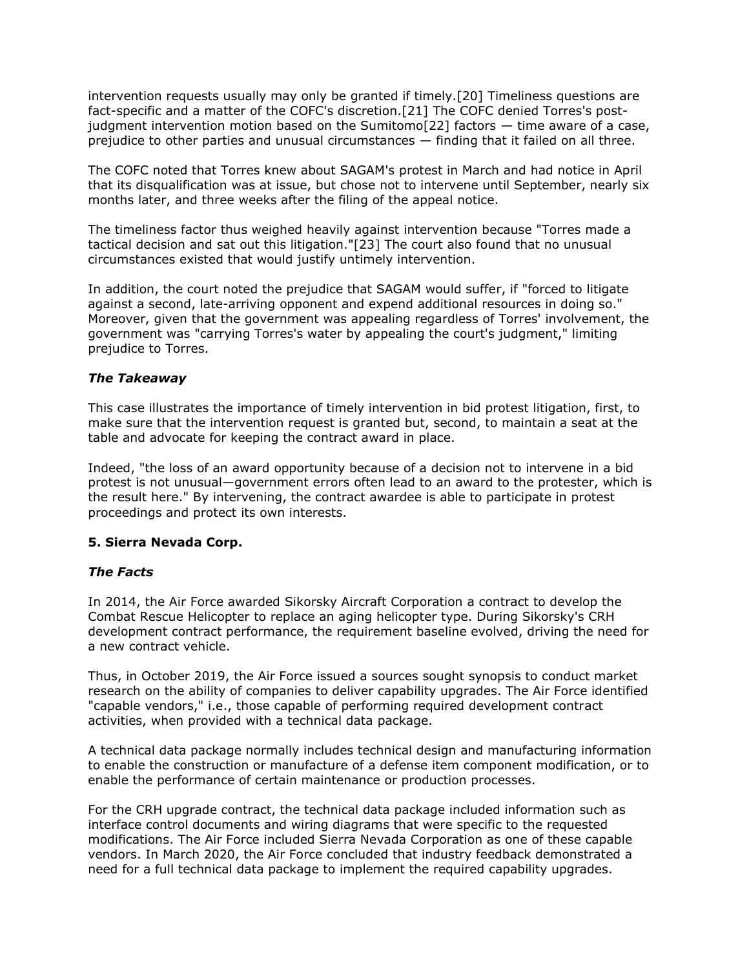intervention requests usually may only be granted if timely.[20] Timeliness questions are fact-specific and a matter of the COFC's discretion.[21] The COFC denied Torres's postjudgment intervention motion based on the Sumitomo[22] factors  $-$  time aware of a case, prejudice to other parties and unusual circumstances — finding that it failed on all three.

The COFC noted that Torres knew about SAGAM's protest in March and had notice in April that its disqualification was at issue, but chose not to intervene until September, nearly six months later, and three weeks after the filing of the appeal notice.

The timeliness factor thus weighed heavily against intervention because "Torres made a tactical decision and sat out this litigation."[23] The court also found that no unusual circumstances existed that would justify untimely intervention.

In addition, the court noted the prejudice that SAGAM would suffer, if "forced to litigate against a second, late-arriving opponent and expend additional resources in doing so." Moreover, given that the government was appealing regardless of Torres' involvement, the government was "carrying Torres's water by appealing the court's judgment," limiting prejudice to Torres.

#### *The Takeaway*

This case illustrates the importance of timely intervention in bid protest litigation, first, to make sure that the intervention request is granted but, second, to maintain a seat at the table and advocate for keeping the contract award in place.

Indeed, "the loss of an award opportunity because of a decision not to intervene in a bid protest is not unusual—government errors often lead to an award to the protester, which is the result here." By intervening, the contract awardee is able to participate in protest proceedings and protect its own interests.

## **5. Sierra Nevada Corp.**

#### *The Facts*

In 2014, the Air Force awarded [Sikorsky Aircraft Corporation](https://www.law360.com/companies/lockheed-martin-corp) a contract to develop the Combat Rescue Helicopter to replace an aging helicopter type. During Sikorsky's CRH development contract performance, the requirement baseline evolved, driving the need for a new contract vehicle.

Thus, in October 2019, the Air Force issued a sources sought synopsis to conduct market research on the ability of companies to deliver capability upgrades. The Air Force identified "capable vendors," i.e., those capable of performing required development contract activities, when provided with a technical data package.

A technical data package normally includes technical design and manufacturing information to enable the construction or manufacture of a defense item component modification, or to enable the performance of certain maintenance or production processes.

For the CRH upgrade contract, the technical data package included information such as interface control documents and wiring diagrams that were specific to the requested modifications. The Air Force included Sierra Nevada Corporation as one of these capable vendors. In March 2020, the Air Force concluded that industry feedback demonstrated a need for a full technical data package to implement the required capability upgrades.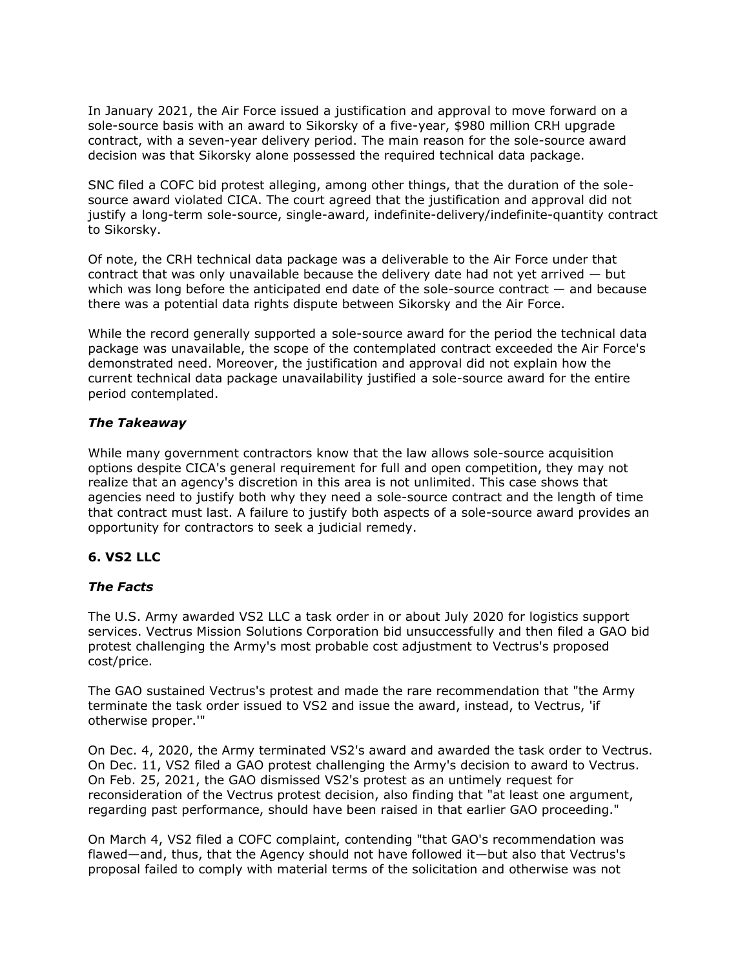In January 2021, the Air Force issued a justification and approval to move forward on a sole-source basis with an award to Sikorsky of a five-year, \$980 million CRH upgrade contract, with a seven-year delivery period. The main reason for the sole-source award decision was that Sikorsky alone possessed the required technical data package.

SNC filed a COFC bid protest alleging, among other things, that the duration of the solesource award violated CICA. The court agreed that the justification and approval did not justify a long-term sole-source, single-award, indefinite-delivery/indefinite-quantity contract to Sikorsky.

Of note, the CRH technical data package was a deliverable to the Air Force under that contract that was only unavailable because the delivery date had not yet arrived — but which was long before the anticipated end date of the sole-source contract  $-$  and because there was a potential data rights dispute between Sikorsky and the Air Force.

While the record generally supported a sole-source award for the period the technical data package was unavailable, the scope of the contemplated contract exceeded the Air Force's demonstrated need. Moreover, the justification and approval did not explain how the current technical data package unavailability justified a sole-source award for the entire period contemplated.

#### *The Takeaway*

While many government contractors know that the law allows sole-source acquisition options despite CICA's general requirement for full and open competition, they may not realize that an agency's discretion in this area is not unlimited. This case shows that agencies need to justify both why they need a sole-source contract and the length of time that contract must last. A failure to justify both aspects of a sole-source award provides an opportunity for contractors to seek a judicial remedy.

## **6. VS2 LLC**

## *The Facts*

The [U.S. Army](https://www.law360.com/agencies/u-s-army-1) awarded VS2 LLC a task order in or about July 2020 for logistics support services. Vectrus Mission Solutions Corporation bid unsuccessfully and then filed a GAO bid protest challenging the Army's most probable cost adjustment to Vectrus's proposed cost/price.

The GAO sustained Vectrus's protest and made the rare recommendation that "the Army terminate the task order issued to VS2 and issue the award, instead, to Vectrus, 'if otherwise proper.'"

On Dec. 4, 2020, the Army terminated VS2's award and awarded the task order to Vectrus. On Dec. 11, VS2 filed a GAO protest challenging the Army's decision to award to Vectrus. On Feb. 25, 2021, the GAO dismissed VS2's protest as an untimely request for reconsideration of the Vectrus protest decision, also finding that "at least one argument, regarding past performance, should have been raised in that earlier GAO proceeding."

On March 4, VS2 filed a COFC complaint, contending "that GAO's recommendation was flawed—and, thus, that the Agency should not have followed it—but also that Vectrus's proposal failed to comply with material terms of the solicitation and otherwise was not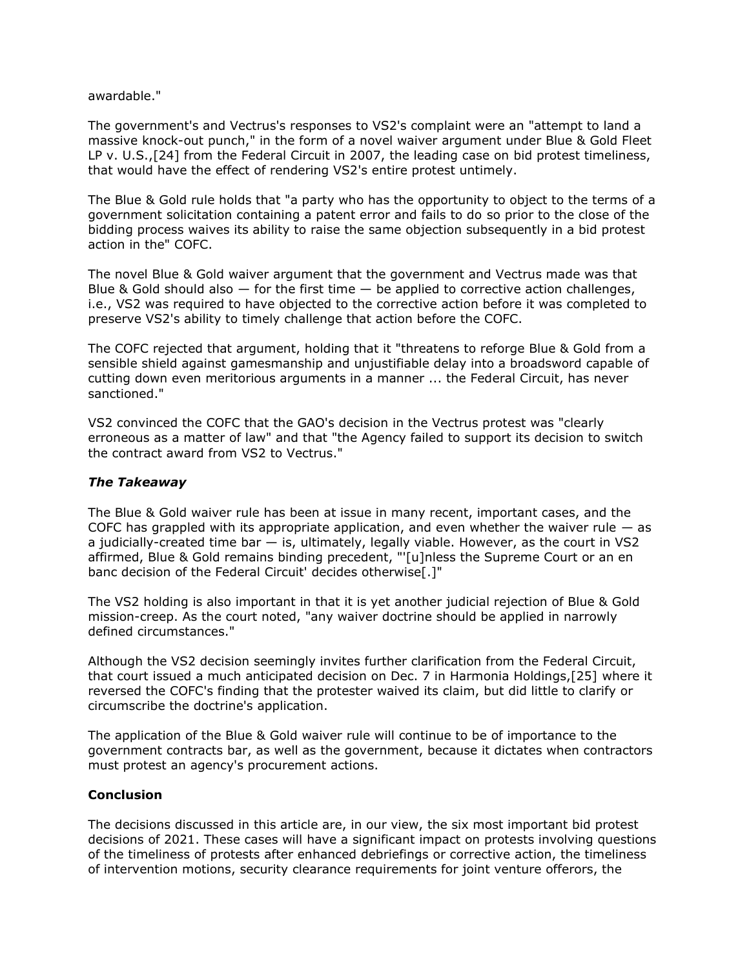awardable."

The government's and Vectrus's responses to VS2's complaint were an "attempt to land a massive knock-out punch," in the form of a novel waiver argument under Blue & Gold Fleet LP v. U.S.,[24] from the Federal Circuit in 2007, the leading case on bid protest timeliness, that would have the effect of rendering VS2's entire protest untimely.

The Blue & Gold rule holds that "a party who has the opportunity to object to the terms of a government solicitation containing a patent error and fails to do so prior to the close of the bidding process waives its ability to raise the same objection subsequently in a bid protest action in the" COFC.

The novel Blue & Gold waiver argument that the government and Vectrus made was that Blue & Gold should also  $-$  for the first time  $-$  be applied to corrective action challenges, i.e., VS2 was required to have objected to the corrective action before it was completed to preserve VS2's ability to timely challenge that action before the COFC.

The COFC rejected that argument, holding that it "threatens to reforge Blue & Gold from a sensible shield against gamesmanship and unjustifiable delay into a broadsword capable of cutting down even meritorious arguments in a manner ... the Federal Circuit, has never sanctioned."

VS2 convinced the COFC that the GAO's decision in the Vectrus protest was "clearly erroneous as a matter of law" and that "the Agency failed to support its decision to switch the contract award from VS2 to Vectrus."

#### *The Takeaway*

The Blue & Gold waiver rule has been at issue in many recent, important cases, and the COFC has grappled with its appropriate application, and even whether the waiver rule  $-$  as a judicially-created time bar — is, ultimately, legally viable. However, as the court in VS2 affirmed, Blue & Gold remains binding precedent, "'[u]nless the Supreme Court or an en banc decision of the Federal Circuit' decides otherwise[.]"

The VS2 holding is also important in that it is yet another judicial rejection of Blue & Gold mission-creep. As the court noted, "any waiver doctrine should be applied in narrowly defined circumstances."

Although the VS2 decision seemingly invites further clarification from the Federal Circuit, that court issued a much anticipated decision on Dec. 7 in Harmonia Holdings,[25] where it reversed the COFC's finding that the protester waived its claim, but did little to clarify or circumscribe the doctrine's application.

The application of the Blue & Gold waiver rule will continue to be of importance to the government contracts bar, as well as the government, because it dictates when contractors must protest an agency's procurement actions.

#### **Conclusion**

The decisions discussed in this article are, in our view, the six most important bid protest decisions of 2021. These cases will have a significant impact on protests involving questions of the timeliness of protests after enhanced debriefings or corrective action, the timeliness of intervention motions, security clearance requirements for joint venture offerors, the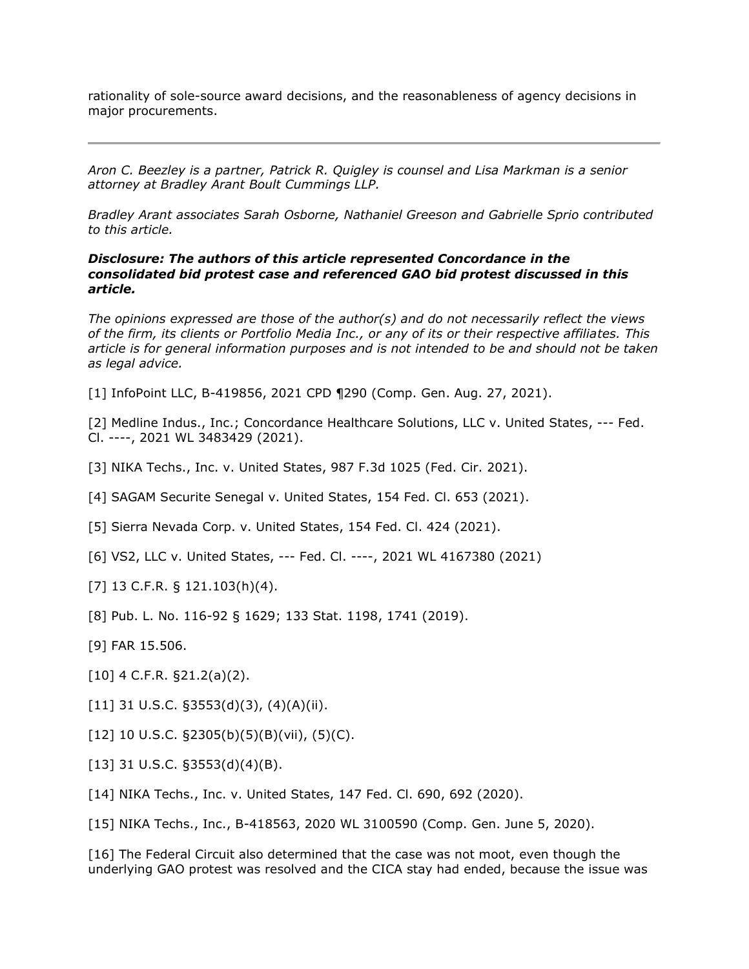rationality of sole-source award decisions, and the reasonableness of agency decisions in major procurements.

*[Aron C. Beezley](https://www.bradley.com/people/b/beezley-aron-c) is a partner, [Patrick R. Quigley](https://www.bradley.com/people/q/quigley-patrick-r) is counsel and [Lisa Markman](https://www.bradley.com/people/m/markman-lisa) is a senior attorney at [Bradley Arant Boult Cummings LLP.](https://www.law360.com/firms/bradley-arant)*

*Bradley Arant associates Sarah Osborne, Nathaniel Greeson and Gabrielle Sprio contributed to this article.*

#### *Disclosure: The authors of this article represented Concordance in the consolidated bid protest case and referenced GAO bid protest discussed in this article.*

*The opinions expressed are those of the author(s) and do not necessarily reflect the views of the firm, its clients or Portfolio Media Inc., or any of its or their respective affiliates. This article is for general information purposes and is not intended to be and should not be taken as legal advice.*

[1] InfoPoint LLC, B-419856, 2021 CPD ¶290 (Comp. Gen. Aug. 27, 2021).

[2] Medline Indus., Inc.; [Concordance Healthcare Solutions, LLC v. United States,](https://advance.lexis.com/api/search?q=2021%20U.S.%20Claims%20LEXIS%201576&qlang=bool&origination=law360&internalOrigination=article_id%3D1448409%3Bcitation%3D2021%20U.S.%20Claims%20LEXIS%201576&originationDetail=headline%3DThe%206%20Most%20Important%20Bid%20Protest%20Decisions%20Of%202021&) --- Fed. Cl. ----, 2021 WL 3483429 (2021).

- [3] [NIKA Techs., Inc. v. United States,](https://advance.lexis.com/api/search?q=2021%20U.S.%20App.%20LEXIS%203124&qlang=bool&origination=law360&internalOrigination=article_id%3D1448409%3Bcitation%3D2021%20U.S.%20App.%20LEXIS%203124&originationDetail=headline%3DThe%206%20Most%20Important%20Bid%20Protest%20Decisions%20Of%202021&) 987 F.3d 1025 (Fed. Cir. 2021).
- [4] [SAGAM Securite Senegal v. United States,](https://advance.lexis.com/api/search?q=2021%20U.S.%20Claims%20LEXIS%201451&qlang=bool&origination=law360&internalOrigination=article_id%3D1448409%3Bcitation%3D2021%20U.S.%20Claims%20LEXIS%201451&originationDetail=headline%3DThe%206%20Most%20Important%20Bid%20Protest%20Decisions%20Of%202021&) 154 Fed. Cl. 653 (2021).
- [5] [Sierra Nevada Corp. v. United States,](https://advance.lexis.com/api/search?q=2021%20U.S.%20Claims%20LEXIS%201376&qlang=bool&origination=law360&internalOrigination=article_id%3D1448409%3Bcitation%3D2021%20U.S.%20Claims%20LEXIS%201376&originationDetail=headline%3DThe%206%20Most%20Important%20Bid%20Protest%20Decisions%20Of%202021&) 154 Fed. Cl. 424 (2021).
- [6] [VS2, LLC v. United States,](https://advance.lexis.com/api/search?q=2021%20U.S.%20Claims%20LEXIS%201923&qlang=bool&origination=law360&internalOrigination=article_id%3D1448409%3Bcitation%3D2021%20U.S.%20Claims%20LEXIS%201923&originationDetail=headline%3DThe%206%20Most%20Important%20Bid%20Protest%20Decisions%20Of%202021&) --- Fed. Cl. ----, 2021 WL 4167380 (2021)
- [7] 13 C.F.R. § 121.103(h)(4).
- [8] Pub. L. No. 116-92 § 1629; 133 Stat. 1198, 1741 (2019).
- [9] FAR 15.506.
- [10] 4 C.F.R. §21.2(a)(2).
- [11] 31 U.S.C.  $\S 3553(d)(3)$ ,  $(4)(A)(ii)$ .
- [12] 10 U.S.C.  $\S$ 2305(b)(5)(B)(vii), (5)(C).
- [13] 31 U.S.C.  $\S 3553(d)(4)(B)$ .
- [14] NIKA Techs., Inc. v. United States, 147 Fed. Cl. 690, 692 (2020).
- [15] NIKA Techs., Inc., B-418563, 2020 WL 3100590 (Comp. Gen. June 5, 2020).

[16] The Federal Circuit also determined that the case was not moot, even though the underlying GAO protest was resolved and the CICA stay had ended, because the issue was